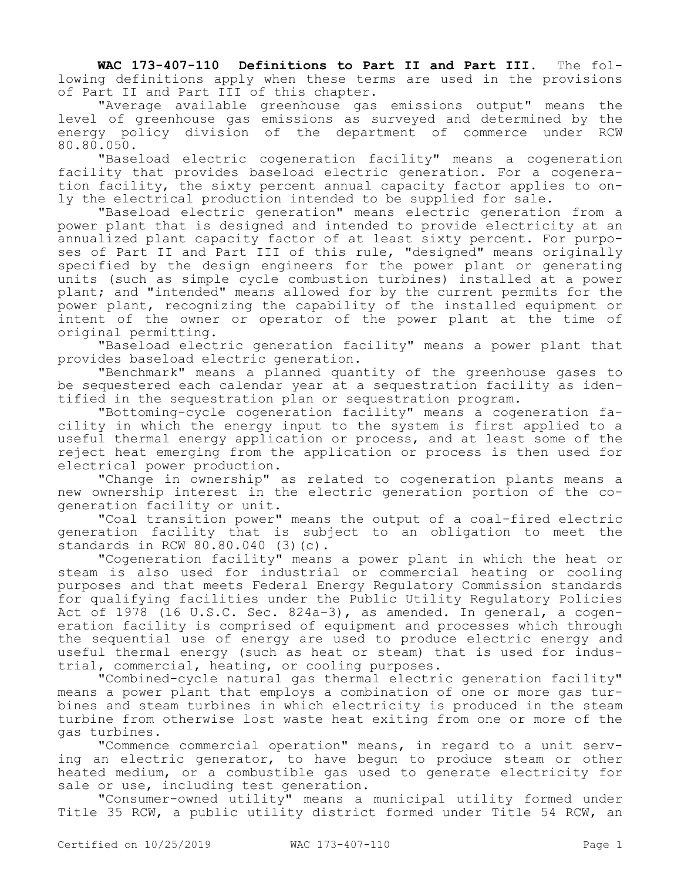**WAC 173-407-110 Definitions to Part II and Part III.** The following definitions apply when these terms are used in the provisions of Part II and Part III of this chapter.

"Average available greenhouse gas emissions output" means the level of greenhouse gas emissions as surveyed and determined by the energy policy division of the department of commerce under RCW 80.80.050.

"Baseload electric cogeneration facility" means a cogeneration facility that provides baseload electric generation. For a cogeneration facility, the sixty percent annual capacity factor applies to only the electrical production intended to be supplied for sale.

"Baseload electric generation" means electric generation from a power plant that is designed and intended to provide electricity at an annualized plant capacity factor of at least sixty percent. For purposes of Part II and Part III of this rule, "designed" means originally specified by the design engineers for the power plant or generating units (such as simple cycle combustion turbines) installed at a power plant; and "intended" means allowed for by the current permits for the power plant, recognizing the capability of the installed equipment or intent of the owner or operator of the power plant at the time of original permitting.

"Baseload electric generation facility" means a power plant that provides baseload electric generation.

"Benchmark" means a planned quantity of the greenhouse gases to be sequestered each calendar year at a sequestration facility as identified in the sequestration plan or sequestration program.

"Bottoming-cycle cogeneration facility" means a cogeneration facility in which the energy input to the system is first applied to a useful thermal energy application or process, and at least some of the reject heat emerging from the application or process is then used for electrical power production.

"Change in ownership" as related to cogeneration plants means a new ownership interest in the electric generation portion of the cogeneration facility or unit.

"Coal transition power" means the output of a coal-fired electric generation facility that is subject to an obligation to meet the standards in RCW  $80.80.040$  (3)(c).

"Cogeneration facility" means a power plant in which the heat or steam is also used for industrial or commercial heating or cooling purposes and that meets Federal Energy Regulatory Commission standards for qualifying facilities under the Public Utility Regulatory Policies Act of 1978 (16 U.S.C. Sec. 824a-3), as amended. In general, a cogeneration facility is comprised of equipment and processes which through the sequential use of energy are used to produce electric energy and useful thermal energy (such as heat or steam) that is used for industrial, commercial, heating, or cooling purposes.

"Combined-cycle natural gas thermal electric generation facility" means a power plant that employs a combination of one or more gas turbines and steam turbines in which electricity is produced in the steam turbine from otherwise lost waste heat exiting from one or more of the gas turbines.

"Commence commercial operation" means, in regard to a unit serving an electric generator, to have begun to produce steam or other heated medium, or a combustible gas used to generate electricity for sale or use, including test generation.

"Consumer-owned utility" means a municipal utility formed under Title 35 RCW, a public utility district formed under Title 54 RCW, an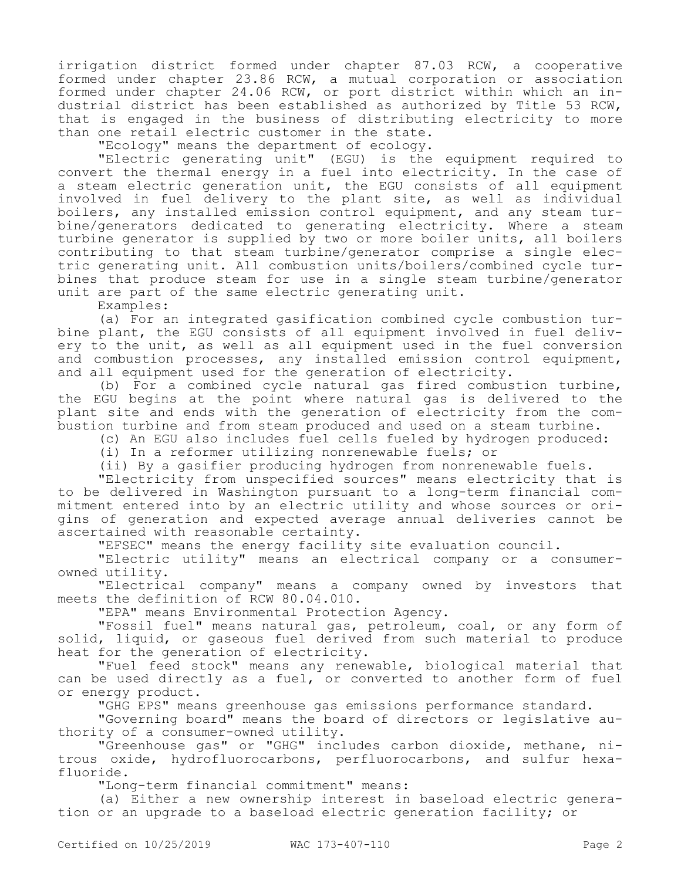irrigation district formed under chapter 87.03 RCW, a cooperative formed under chapter 23.86 RCW, a mutual corporation or association formed under chapter 24.06 RCW, or port district within which an industrial district has been established as authorized by Title 53 RCW, that is engaged in the business of distributing electricity to more than one retail electric customer in the state.

"Ecology" means the department of ecology.

"Electric generating unit" (EGU) is the equipment required to convert the thermal energy in a fuel into electricity. In the case of a steam electric generation unit, the EGU consists of all equipment involved in fuel delivery to the plant site, as well as individual boilers, any installed emission control equipment, and any steam turbine/generators dedicated to generating electricity. Where a steam turbine generator is supplied by two or more boiler units, all boilers contributing to that steam turbine/generator comprise a single electric generating unit. All combustion units/boilers/combined cycle turbines that produce steam for use in a single steam turbine/generator unit are part of the same electric generating unit.

Examples:

(a) For an integrated gasification combined cycle combustion turbine plant, the EGU consists of all equipment involved in fuel delivery to the unit, as well as all equipment used in the fuel conversion and combustion processes, any installed emission control equipment, and all equipment used for the generation of electricity.

(b) For a combined cycle natural gas fired combustion turbine, the EGU begins at the point where natural gas is delivered to the plant site and ends with the generation of electricity from the combustion turbine and from steam produced and used on a steam turbine.

(c) An EGU also includes fuel cells fueled by hydrogen produced:

(i) In a reformer utilizing nonrenewable fuels; or

(ii) By a gasifier producing hydrogen from nonrenewable fuels.

"Electricity from unspecified sources" means electricity that is to be delivered in Washington pursuant to a long-term financial commitment entered into by an electric utility and whose sources or origins of generation and expected average annual deliveries cannot be ascertained with reasonable certainty.

"EFSEC" means the energy facility site evaluation council.

"Electric utility" means an electrical company or a consumerowned utility.

"Electrical company" means a company owned by investors that meets the definition of RCW 80.04.010.

"EPA" means Environmental Protection Agency.

"Fossil fuel" means natural gas, petroleum, coal, or any form of solid, liquid, or gaseous fuel derived from such material to produce heat for the generation of electricity.

"Fuel feed stock" means any renewable, biological material that can be used directly as a fuel, or converted to another form of fuel or energy product.

"GHG EPS" means greenhouse gas emissions performance standard.

"Governing board" means the board of directors or legislative authority of a consumer-owned utility.

"Greenhouse gas" or "GHG" includes carbon dioxide, methane, nitrous oxide, hydrofluorocarbons, perfluorocarbons, and sulfur hexafluoride.

"Long-term financial commitment" means:

(a) Either a new ownership interest in baseload electric generation or an upgrade to a baseload electric generation facility; or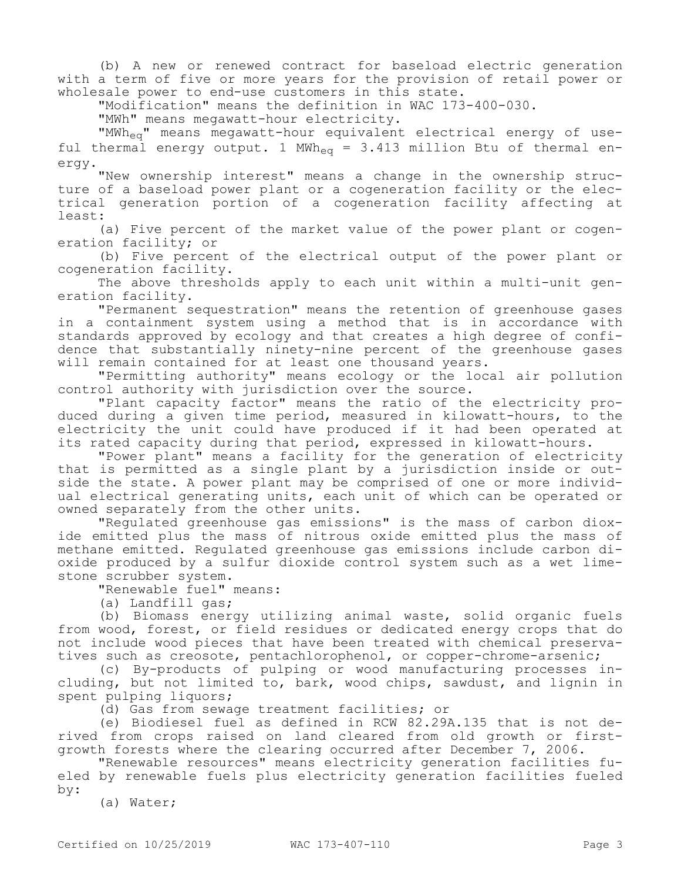(b) A new or renewed contract for baseload electric generation with a term of five or more years for the provision of retail power or wholesale power to end-use customers in this state.

"Modification" means the definition in WAC 173-400-030.

"MWh" means megawatt-hour electricity.

"MWheq" means megawatt-hour equivalent electrical energy of useful thermal energy output. 1 MWh<sub>eq</sub> = 3.413 million Btu of thermal energy.

"New ownership interest" means a change in the ownership structure of a baseload power plant or a cogeneration facility or the electrical generation portion of a cogeneration facility affecting at least:

(a) Five percent of the market value of the power plant or cogeneration facility; or

(b) Five percent of the electrical output of the power plant or cogeneration facility.

The above thresholds apply to each unit within a multi-unit generation facility.

"Permanent sequestration" means the retention of greenhouse gases in a containment system using a method that is in accordance with standards approved by ecology and that creates a high degree of confidence that substantially ninety-nine percent of the greenhouse gases will remain contained for at least one thousand years.

"Permitting authority" means ecology or the local air pollution control authority with jurisdiction over the source.

"Plant capacity factor" means the ratio of the electricity produced during a given time period, measured in kilowatt-hours, to the electricity the unit could have produced if it had been operated at its rated capacity during that period, expressed in kilowatt-hours.

"Power plant" means a facility for the generation of electricity that is permitted as a single plant by a jurisdiction inside or outside the state. A power plant may be comprised of one or more individual electrical generating units, each unit of which can be operated or owned separately from the other units.

"Regulated greenhouse gas emissions" is the mass of carbon dioxide emitted plus the mass of nitrous oxide emitted plus the mass of methane emitted. Regulated greenhouse gas emissions include carbon dioxide produced by a sulfur dioxide control system such as a wet limestone scrubber system.

"Renewable fuel" means:

(a) Landfill gas;

(b) Biomass energy utilizing animal waste, solid organic fuels from wood, forest, or field residues or dedicated energy crops that do not include wood pieces that have been treated with chemical preservatives such as creosote, pentachlorophenol, or copper-chrome-arsenic;

(c) By-products of pulping or wood manufacturing processes including, but not limited to, bark, wood chips, sawdust, and lignin in spent pulping liquors;

(d) Gas from sewage treatment facilities; or

(e) Biodiesel fuel as defined in RCW 82.29A.135 that is not derived from crops raised on land cleared from old growth or firstgrowth forests where the clearing occurred after December 7, 2006.

"Renewable resources" means electricity generation facilities fueled by renewable fuels plus electricity generation facilities fueled by:

(a) Water;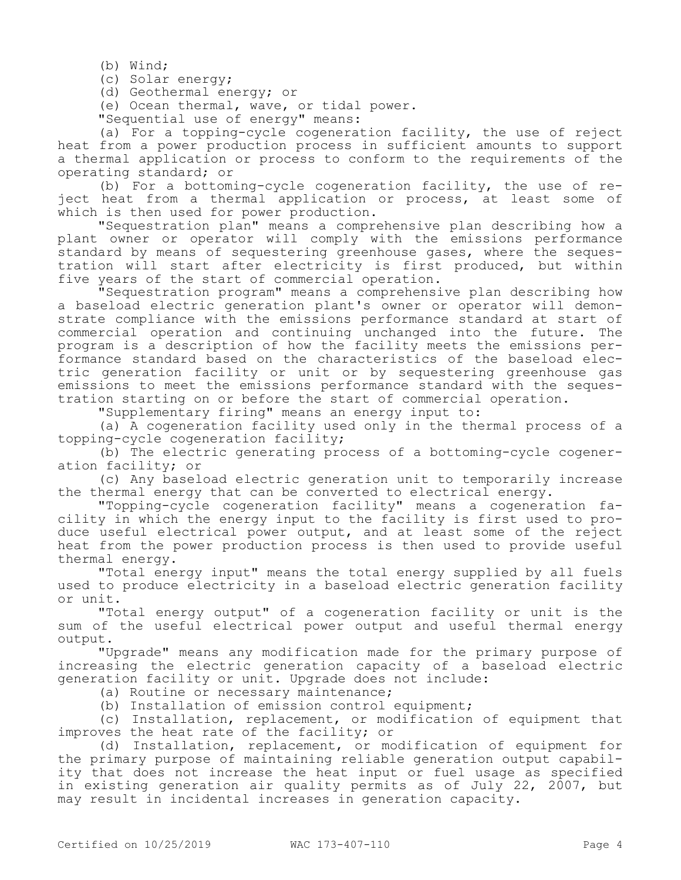(b) Wind;

(c) Solar energy;

(d) Geothermal energy; or

(e) Ocean thermal, wave, or tidal power.

"Sequential use of energy" means:

(a) For a topping-cycle cogeneration facility, the use of reject heat from a power production process in sufficient amounts to support a thermal application or process to conform to the requirements of the operating standard; or

(b) For a bottoming-cycle cogeneration facility, the use of reject heat from a thermal application or process, at least some of which is then used for power production.

"Sequestration plan" means a comprehensive plan describing how a plant owner or operator will comply with the emissions performance standard by means of sequestering greenhouse gases, where the sequestration will start after electricity is first produced, but within five years of the start of commercial operation.

"Sequestration program" means a comprehensive plan describing how a baseload electric generation plant's owner or operator will demonstrate compliance with the emissions performance standard at start of commercial operation and continuing unchanged into the future. The program is a description of how the facility meets the emissions performance standard based on the characteristics of the baseload electric generation facility or unit or by sequestering greenhouse gas emissions to meet the emissions performance standard with the sequestration starting on or before the start of commercial operation.

"Supplementary firing" means an energy input to:

(a) A cogeneration facility used only in the thermal process of a topping-cycle cogeneration facility;

(b) The electric generating process of a bottoming-cycle cogeneration facility; or

(c) Any baseload electric generation unit to temporarily increase the thermal energy that can be converted to electrical energy.

"Topping-cycle cogeneration facility" means a cogeneration facility in which the energy input to the facility is first used to produce useful electrical power output, and at least some of the reject heat from the power production process is then used to provide useful thermal energy.

"Total energy input" means the total energy supplied by all fuels used to produce electricity in a baseload electric generation facility or unit.

"Total energy output" of a cogeneration facility or unit is the sum of the useful electrical power output and useful thermal energy output.

"Upgrade" means any modification made for the primary purpose of increasing the electric generation capacity of a baseload electric generation facility or unit. Upgrade does not include:

(a) Routine or necessary maintenance;

(b) Installation of emission control equipment;

(c) Installation, replacement, or modification of equipment that improves the heat rate of the facility; or

(d) Installation, replacement, or modification of equipment for the primary purpose of maintaining reliable generation output capability that does not increase the heat input or fuel usage as specified in existing generation air quality permits as of July 22, 2007, but may result in incidental increases in generation capacity.